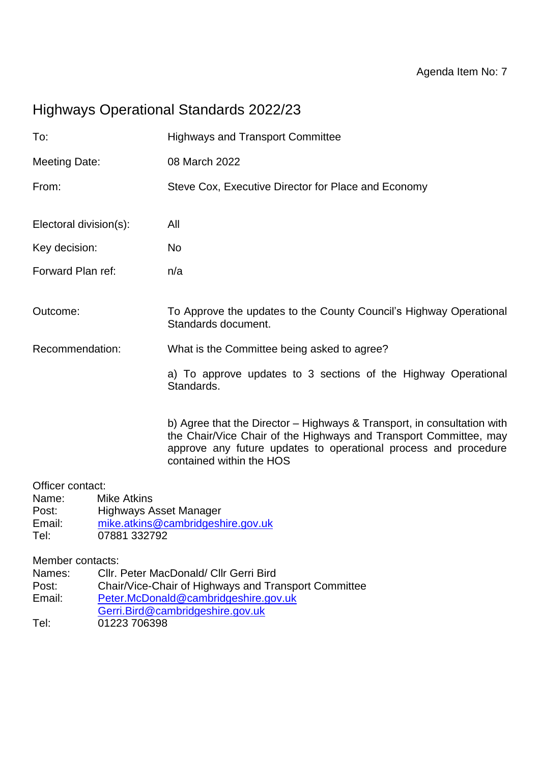# Highways Operational Standards 2022/23

| To:                                                                                                                                   |  | <b>Highways and Transport Committee</b>                                                                                                                                                                                                     |
|---------------------------------------------------------------------------------------------------------------------------------------|--|---------------------------------------------------------------------------------------------------------------------------------------------------------------------------------------------------------------------------------------------|
| <b>Meeting Date:</b>                                                                                                                  |  | 08 March 2022                                                                                                                                                                                                                               |
| From:                                                                                                                                 |  | Steve Cox, Executive Director for Place and Economy                                                                                                                                                                                         |
| Electoral division(s):                                                                                                                |  | All                                                                                                                                                                                                                                         |
| Key decision:                                                                                                                         |  | <b>No</b>                                                                                                                                                                                                                                   |
| Forward Plan ref:                                                                                                                     |  | n/a                                                                                                                                                                                                                                         |
| Outcome:                                                                                                                              |  | To Approve the updates to the County Council's Highway Operational<br>Standards document.                                                                                                                                                   |
| Recommendation:                                                                                                                       |  | What is the Committee being asked to agree?                                                                                                                                                                                                 |
|                                                                                                                                       |  | a) To approve updates to 3 sections of the Highway Operational<br>Standards.                                                                                                                                                                |
|                                                                                                                                       |  | b) Agree that the Director - Highways & Transport, in consultation with<br>the Chair/Vice Chair of the Highways and Transport Committee, may<br>approve any future updates to operational process and procedure<br>contained within the HOS |
| Officer contact:<br><b>Mike Atkins</b><br>Name:<br><b>Highways Asset Manager</b><br>Post:<br>Email:<br>07881 332792<br>Tel:           |  | mike.atkins@cambridgeshire.gov.uk                                                                                                                                                                                                           |
| Member contacts:<br>Cllr. Peter MacDonald/ Cllr Gerri Bird<br>Names:<br>Chair/Vice-Chair of Highways and Transport Committee<br>Post: |  |                                                                                                                                                                                                                                             |

- Email: [Peter.McDonald@cambridgeshire.gov.uk](mailto:Peter.McDonald@cambridgeshire.gov.uk) [Gerri.Bird@cambridgeshire.gov.uk](mailto:Gerri.Bird@cambridgeshire.gov.uk)
- Tel: 01223 706398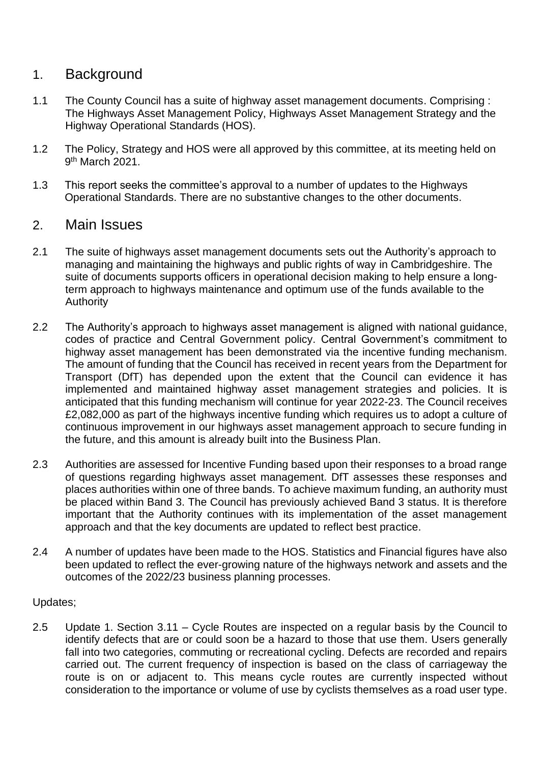## 1. Background

- 1.1 The County Council has a suite of highway asset management documents. Comprising : The Highways Asset Management Policy, Highways Asset Management Strategy and the Highway Operational Standards (HOS).
- 1.2 The Policy, Strategy and HOS were all approved by this committee, at its meeting held on 9<sup>th</sup> March 2021.
- 1.3 This report seeks the committee's approval to a number of updates to the Highways Operational Standards. There are no substantive changes to the other documents.

## 2. Main Issues

- 2.1 The suite of highways asset management documents sets out the Authority's approach to managing and maintaining the highways and public rights of way in Cambridgeshire. The suite of documents supports officers in operational decision making to help ensure a longterm approach to highways maintenance and optimum use of the funds available to the Authority
- 2.2 The Authority's approach to highways asset management is aligned with national guidance, codes of practice and Central Government policy. Central Government's commitment to highway asset management has been demonstrated via the incentive funding mechanism. The amount of funding that the Council has received in recent years from the Department for Transport (DfT) has depended upon the extent that the Council can evidence it has implemented and maintained highway asset management strategies and policies. It is anticipated that this funding mechanism will continue for year 2022-23. The Council receives £2,082,000 as part of the highways incentive funding which requires us to adopt a culture of continuous improvement in our highways asset management approach to secure funding in the future, and this amount is already built into the Business Plan.
- 2.3 Authorities are assessed for Incentive Funding based upon their responses to a broad range of questions regarding highways asset management. DfT assesses these responses and places authorities within one of three bands. To achieve maximum funding, an authority must be placed within Band 3. The Council has previously achieved Band 3 status. It is therefore important that the Authority continues with its implementation of the asset management approach and that the key documents are updated to reflect best practice.
- 2.4 A number of updates have been made to the HOS. Statistics and Financial figures have also been updated to reflect the ever-growing nature of the highways network and assets and the outcomes of the 2022/23 business planning processes.

#### Updates;

2.5 Update 1. Section 3.11 – Cycle Routes are inspected on a regular basis by the Council to identify defects that are or could soon be a hazard to those that use them. Users generally fall into two categories, commuting or recreational cycling. Defects are recorded and repairs carried out. The current frequency of inspection is based on the class of carriageway the route is on or adjacent to. This means cycle routes are currently inspected without consideration to the importance or volume of use by cyclists themselves as a road user type.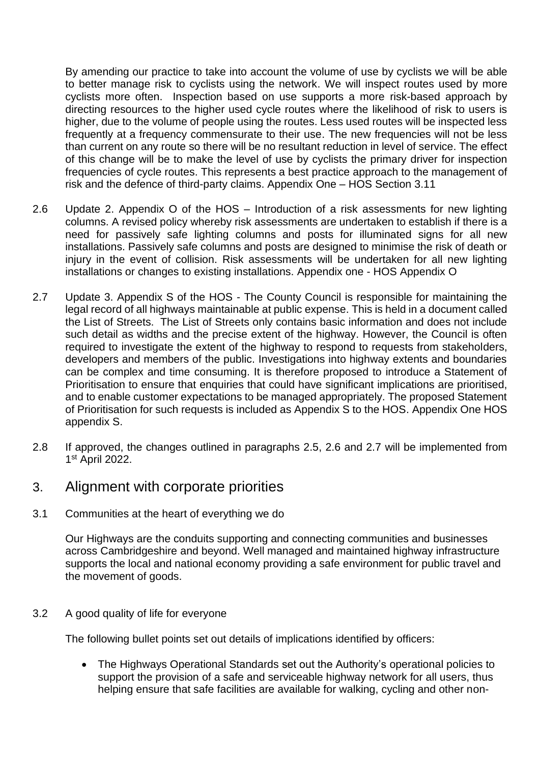By amending our practice to take into account the volume of use by cyclists we will be able to better manage risk to cyclists using the network. We will inspect routes used by more cyclists more often. Inspection based on use supports a more risk-based approach by directing resources to the higher used cycle routes where the likelihood of risk to users is higher, due to the volume of people using the routes. Less used routes will be inspected less frequently at a frequency commensurate to their use. The new frequencies will not be less than current on any route so there will be no resultant reduction in level of service. The effect of this change will be to make the level of use by cyclists the primary driver for inspection frequencies of cycle routes. This represents a best practice approach to the management of risk and the defence of third-party claims. Appendix One – HOS Section 3.11

- 2.6 Update 2. Appendix O of the HOS Introduction of a risk assessments for new lighting columns. A revised policy whereby risk assessments are undertaken to establish if there is a need for passively safe lighting columns and posts for illuminated signs for all new installations. Passively safe columns and posts are designed to minimise the risk of death or injury in the event of collision. Risk assessments will be undertaken for all new lighting installations or changes to existing installations. Appendix one - HOS Appendix O
- 2.7 Update 3. Appendix S of the HOS The County Council is responsible for maintaining the legal record of all highways maintainable at public expense. This is held in a document called the List of Streets. The List of Streets only contains basic information and does not include such detail as widths and the precise extent of the highway. However, the Council is often required to investigate the extent of the highway to respond to requests from stakeholders, developers and members of the public. Investigations into highway extents and boundaries can be complex and time consuming. It is therefore proposed to introduce a Statement of Prioritisation to ensure that enquiries that could have significant implications are prioritised, and to enable customer expectations to be managed appropriately. The proposed Statement of Prioritisation for such requests is included as Appendix S to the HOS. Appendix One HOS appendix S.
- 2.8 If approved, the changes outlined in paragraphs 2.5, 2.6 and 2.7 will be implemented from 1 st April 2022.

#### 3. Alignment with corporate priorities

3.1 Communities at the heart of everything we do

Our Highways are the conduits supporting and connecting communities and businesses across Cambridgeshire and beyond. Well managed and maintained highway infrastructure supports the local and national economy providing a safe environment for public travel and the movement of goods.

#### 3.2 A good quality of life for everyone

The following bullet points set out details of implications identified by officers:

• The Highways Operational Standards set out the Authority's operational policies to support the provision of a safe and serviceable highway network for all users, thus helping ensure that safe facilities are available for walking, cycling and other non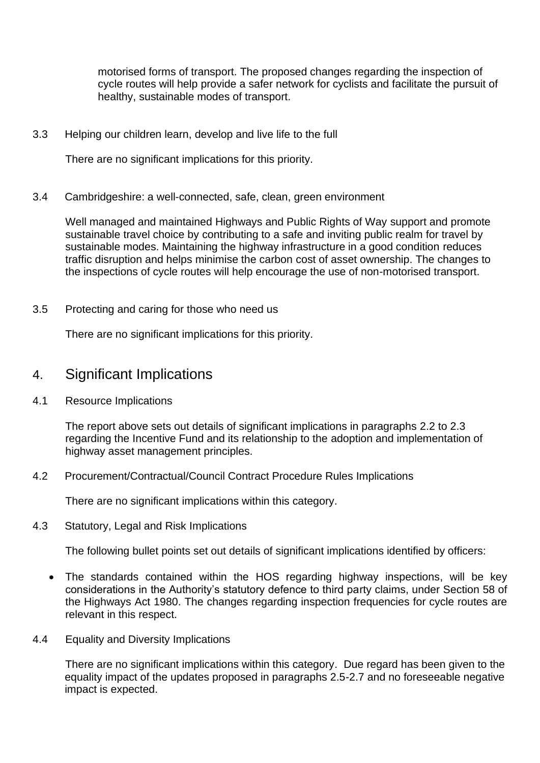motorised forms of transport. The proposed changes regarding the inspection of cycle routes will help provide a safer network for cyclists and facilitate the pursuit of healthy, sustainable modes of transport.

3.3 Helping our children learn, develop and live life to the full

There are no significant implications for this priority.

3.4 Cambridgeshire: a well-connected, safe, clean, green environment

Well managed and maintained Highways and Public Rights of Way support and promote sustainable travel choice by contributing to a safe and inviting public realm for travel by sustainable modes. Maintaining the highway infrastructure in a good condition reduces traffic disruption and helps minimise the carbon cost of asset ownership. The changes to the inspections of cycle routes will help encourage the use of non-motorised transport.

3.5 Protecting and caring for those who need us

There are no significant implications for this priority.

## 4. Significant Implications

4.1 Resource Implications

The report above sets out details of significant implications in paragraphs 2.2 to 2.3 regarding the Incentive Fund and its relationship to the adoption and implementation of highway asset management principles.

4.2 Procurement/Contractual/Council Contract Procedure Rules Implications

There are no significant implications within this category.

4.3 Statutory, Legal and Risk Implications

The following bullet points set out details of significant implications identified by officers:

- The standards contained within the HOS regarding highway inspections, will be key considerations in the Authority's statutory defence to third party claims, under Section 58 of the Highways Act 1980. The changes regarding inspection frequencies for cycle routes are relevant in this respect.
- 4.4 Equality and Diversity Implications

There are no significant implications within this category. Due regard has been given to the equality impact of the updates proposed in paragraphs 2.5-2.7 and no foreseeable negative impact is expected.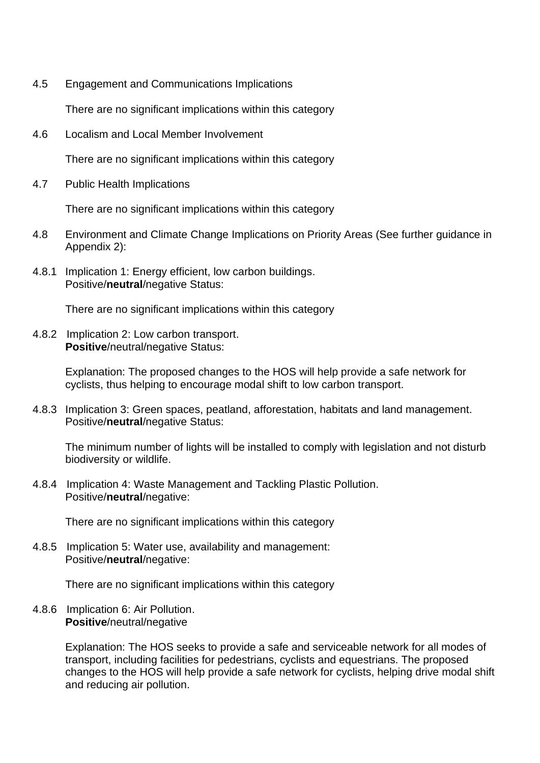4.5 Engagement and Communications Implications

There are no significant implications within this category

4.6 Localism and Local Member Involvement

There are no significant implications within this category

4.7 Public Health Implications

There are no significant implications within this category

- 4.8 Environment and Climate Change Implications on Priority Areas (See further guidance in Appendix 2):
- 4.8.1 Implication 1: Energy efficient, low carbon buildings. Positive/**neutral**/negative Status:

There are no significant implications within this category

4.8.2 Implication 2: Low carbon transport. **Positive**/neutral/negative Status:

> Explanation: The proposed changes to the HOS will help provide a safe network for cyclists, thus helping to encourage modal shift to low carbon transport.

4.8.3 Implication 3: Green spaces, peatland, afforestation, habitats and land management. Positive/**neutral**/negative Status:

The minimum number of lights will be installed to comply with legislation and not disturb biodiversity or wildlife.

4.8.4 Implication 4: Waste Management and Tackling Plastic Pollution. Positive/**neutral**/negative:

There are no significant implications within this category

4.8.5 Implication 5: Water use, availability and management: Positive/**neutral**/negative:

There are no significant implications within this category

4.8.6 Implication 6: Air Pollution. **Positive**/neutral/negative

> Explanation: The HOS seeks to provide a safe and serviceable network for all modes of transport, including facilities for pedestrians, cyclists and equestrians. The proposed changes to the HOS will help provide a safe network for cyclists, helping drive modal shift and reducing air pollution.